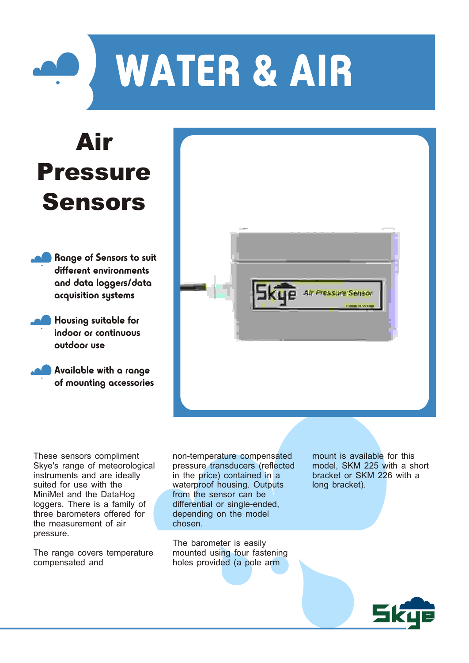

## Air Pressure Sensors

Range of Sensors to suit different environments and data loggers/data acquisition systems

Housing suitable for indoor or continuous outdoor use

Available with a range of mounting accessories **Alr Pressure Sensor** 

These sensors compliment Skye's range of meteorological instruments and are ideally suited for use with the MiniMet and the DataHog loggers. There is a family of three barometers offered for the measurement of air pressure.

The range covers temperature compensated and

non-temperature compensated pressure transducers (reflected in the price) contained in a waterproof housing. Outputs from the sensor can be differential or single-ended, depending on the model chosen.

The barometer is easily mounted using four fastening holes provided (a pole arm

mount is available for this model, SKM 225 with a short bracket or SKM 226 with a long bracket).